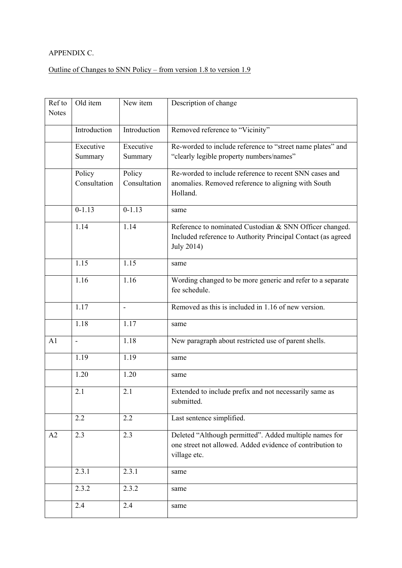## APPENDIX C.

## Outline of Changes to SNN Policy – from version 1.8 to version 1.9

| Ref to<br><b>Notes</b> | Old item     | New item     | Description of change                                                                                                                 |
|------------------------|--------------|--------------|---------------------------------------------------------------------------------------------------------------------------------------|
|                        | Introduction | Introduction | Removed reference to "Vicinity"                                                                                                       |
|                        | Executive    | Executive    | Re-worded to include reference to "street name plates" and                                                                            |
|                        | Summary      | Summary      | "clearly legible property numbers/names"                                                                                              |
|                        | Policy       | Policy       | Re-worded to include reference to recent SNN cases and                                                                                |
|                        | Consultation | Consultation | anomalies. Removed reference to aligning with South<br>Holland.                                                                       |
|                        | $0 - 1.13$   | $0 - 1.13$   | same                                                                                                                                  |
|                        | 1.14         | 1.14         | Reference to nominated Custodian & SNN Officer changed.<br>Included reference to Authority Principal Contact (as agreed<br>July 2014) |
|                        | 1.15         | 1.15         | same                                                                                                                                  |
|                        | 1.16         | 1.16         | Wording changed to be more generic and refer to a separate<br>fee schedule.                                                           |
|                        | 1.17         |              | Removed as this is included in 1.16 of new version.                                                                                   |
|                        | 1.18         | 1.17         | same                                                                                                                                  |
| A1                     | ÷,           | 1.18         | New paragraph about restricted use of parent shells.                                                                                  |
|                        | 1.19         | 1.19         | same                                                                                                                                  |
|                        | 1.20         | 1.20         | same                                                                                                                                  |
|                        | 2.1          | 2.1          | Extended to include prefix and not necessarily same as<br>submitted.                                                                  |
|                        | 2.2          | 2.2          | Last sentence simplified.                                                                                                             |
| A2                     | 2.3          | 2.3          | Deleted "Although permitted". Added multiple names for<br>one street not allowed. Added evidence of contribution to<br>village etc.   |
|                        | 2.3.1        | 2.3.1        | same                                                                                                                                  |
|                        | 2.3.2        | 2.3.2        | same                                                                                                                                  |
|                        | 2.4          | 2.4          | same                                                                                                                                  |